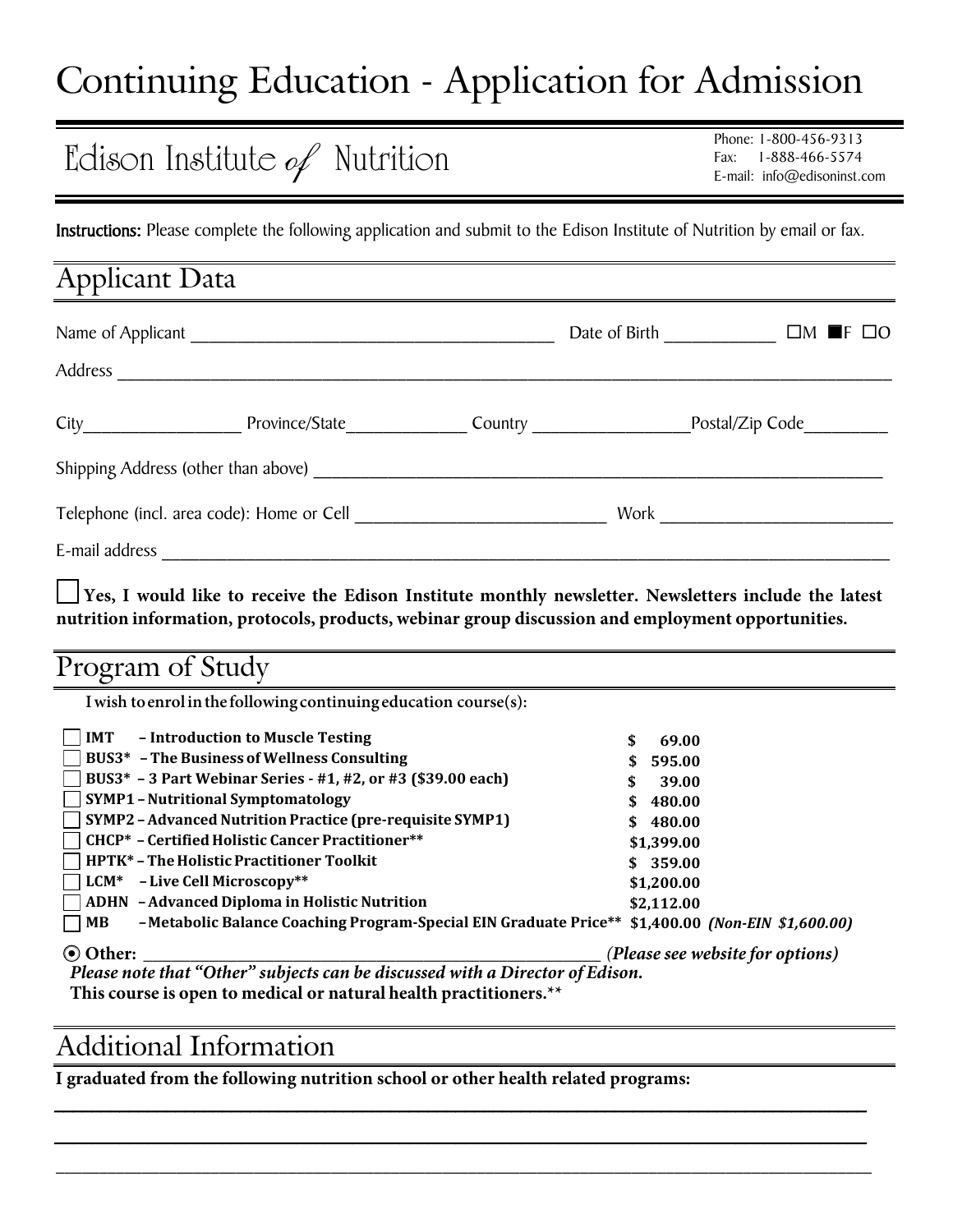# Continuing Education - Application for Admission

## Edison Institute *of* Nutrition

Phone: 1-800-456-9313 Fax: 1-888-466-5574 E-mail: info@edisoninst.com

Instructions: Please complete the following application and submit to the Edison Institute of Nutrition by email or fax.

| <b>Applicant Data</b>                     |                                     |  |                        |                 |                      |  |
|-------------------------------------------|-------------------------------------|--|------------------------|-----------------|----------------------|--|
|                                           |                                     |  | Date of Birth          |                 | $\Box M$ of $\Box O$ |  |
| Address                                   |                                     |  |                        |                 |                      |  |
|                                           | Province/State                      |  | Country <u>Country</u> | Postal/Zip Code |                      |  |
|                                           | Shipping Address (other than above) |  |                        |                 |                      |  |
| Telephone (incl. area code): Home or Cell |                                     |  | Work                   |                 |                      |  |
| E-mail address                            |                                     |  |                        |                 |                      |  |

**Yes, I would like to receive the Edison Institute monthly newsletter. Newsletters include the latest nutrition information, protocols, products, webinar group discussion and employment opportunities.**

## Program of Study

**I wish toenrol in the following continuing education course(s):** 

| - Introduction to Muscle Testing<br><b>IMT</b>                                                                           | 69.00                            |
|--------------------------------------------------------------------------------------------------------------------------|----------------------------------|
| BUS3 <sup>*</sup> - The Business of Wellness Consulting                                                                  | \$595.00                         |
| BUS3* - 3 Part Webinar Series - #1, #2, or #3 (\$39.00 each)                                                             | 39.00                            |
| <b>SYMP1-Nutritional Symptomatology</b>                                                                                  | \$480.00                         |
| <b>SYMP2</b> - Advanced Nutrition Practice (pre-requisite SYMP1)                                                         | \$480.00                         |
| <b>CHCP*</b> - Certified Holistic Cancer Practitioner**                                                                  | \$1,399.00                       |
| <b>HPTK*</b> - The Holistic Practitioner Toolkit                                                                         | \$359.00                         |
| LCM* - Live Cell Microscopy**                                                                                            | \$1,200.00                       |
| <b>ADHN</b> - Advanced Diploma in Holistic Nutrition                                                                     | \$2,112.00                       |
| -Metabolic Balance Coaching Program-Special EIN Graduate Price** \$1,400.00 (Non-EIN \$1,600.00)<br>  MB<br>$\mathsf{L}$ |                                  |
| ⊙ Other:                                                                                                                 | (Please see website for options) |
| Please note that "Other" subjects can be discussed with a Director of Edison.                                            |                                  |

\_\_\_\_\_\_\_\_\_\_\_\_\_\_\_\_\_\_\_\_\_\_\_\_\_\_\_\_\_\_\_\_\_\_\_\_\_\_\_\_\_\_\_\_\_\_\_\_\_\_\_\_\_\_\_\_\_\_\_\_\_\_\_\_\_\_\_\_\_\_\_\_\_\_\_\_\_\_\_\_\_\_\_\_\_\_\_

\_\_\_\_\_\_\_\_\_\_\_\_\_\_\_\_\_\_\_\_\_\_\_\_\_\_\_\_\_\_\_\_\_\_\_\_\_\_\_\_\_\_\_\_\_\_\_\_\_\_\_\_\_\_\_\_\_\_\_\_\_\_\_\_\_\_\_\_\_\_\_\_\_\_\_\_\_\_\_\_\_\_\_\_\_\_\_ \_\_\_\_\_\_\_\_\_\_\_\_\_\_\_\_\_\_\_\_\_\_\_\_\_\_\_\_\_\_\_\_\_\_\_\_\_\_\_\_\_\_\_\_\_\_\_\_\_\_\_\_\_\_\_\_\_\_\_\_\_\_\_\_\_\_\_\_\_\_\_\_\_\_\_\_\_\_\_\_\_\_\_\_\_\_\_\_\_\_\_\_\_\_\_

*Please note that "Other" subjects can be discussed with a Director of Edison.* **This course is open to medical or natural health practitioners.\*\***

## Additional Information

**I graduated from the following nutrition school or other health related programs:**